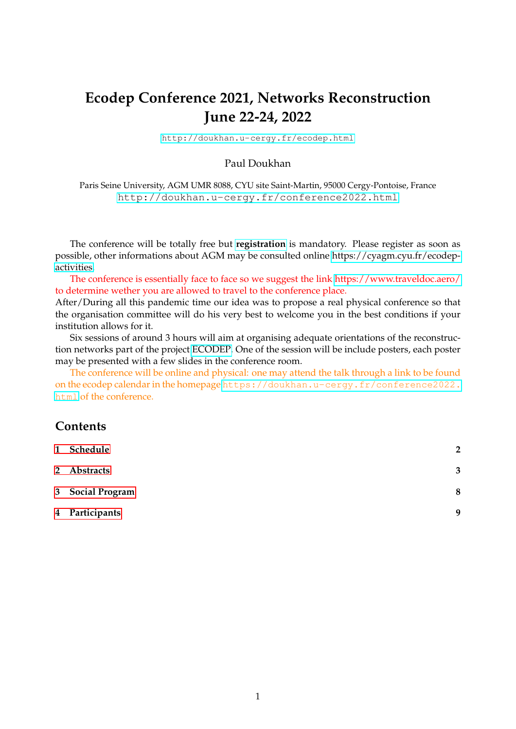# <span id="page-0-0"></span>**Ecodep Conference 2021, Networks Reconstruction June 22-24, 2022**

<http://doukhan.u-cergy.fr/ecodep.html>

#### Paul Doukhan

Paris Seine University, AGM UMR 8088, CYU site Saint-Martin, 95000 Cergy-Pontoise, France <http://doukhan.u-cergy.fr/conference2022.html>

The conference will be totally free but **[registration](https://docs.google.com/forms/d/e/1FAIpQLSeag2a9jkFnBdvxxa0GBEgO1mkaB64QKpfPe9WFlEXFzZStdQ/viewform)** is mandatory. Please register as soon as possible, other informations about AGM may be consulted online [https://cyagm.cyu.fr/ecodep](https://cyagm.cyu.fr/ecodep-activities)[activities.](https://cyagm.cyu.fr/ecodep-activities)

The conference is essentially face to face so we suggest the link<https://www.traveldoc.aero/> to determine wether you are allowed to travel to the conference place.

After/During all this pandemic time our idea was to propose a real physical conference so that the organisation committee will do his very best to welcome you in the best conditions if your institution allows for it.

Six sessions of around 3 hours will aim at organising adequate orientations of the reconstruction networks part of the project [ECODEP.](http://doukhan.u-cergy.fr/ecodep_abstract.html) One of the session will be include posters, each poster may be presented with a few slides in the conference room.

The conference will be online and physical: one may attend the talk through a link to be found on the ecodep calendar in the homepage [https://doukhan.u-cergy.fr/conference2022.](https://doukhan.u-cergy.fr/conference2022.html) [html](https://doukhan.u-cergy.fr/conference2022.html) of the conference.

# **Contents**

| 1 Schedule       | $\overline{2}$ |
|------------------|----------------|
| 2 Abstracts      | 3              |
| 3 Social Program | 8              |
| 4 Participants   | 9              |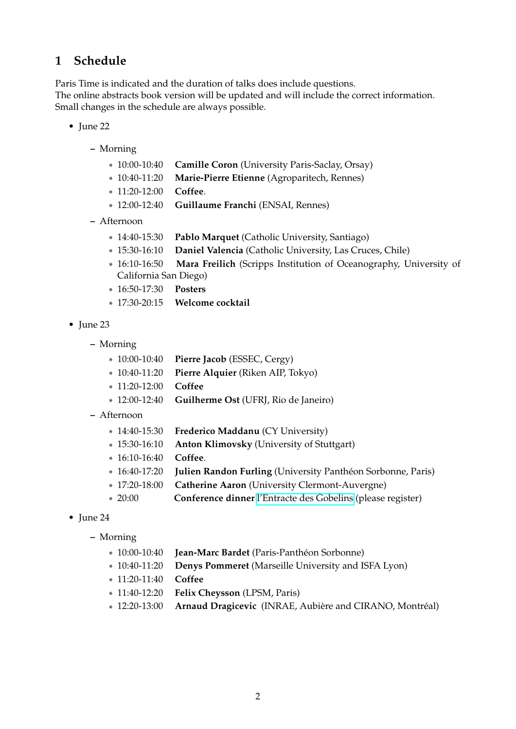# <span id="page-1-0"></span>**1 Schedule**

Paris Time is indicated and the duration of talks does include questions. The online abstracts book version will be updated and will include the correct information. Small changes in the schedule are always possible.

- June 22
	- **–** Morning
		- $*10:00-10:40$ **Camille Coron** (University Paris-Saclay, Orsay)
		- $* 10:40-11:20$ Marie-Pierre Etienne (Agroparitech, Rennes)
		- \* 11:20-12:00 **Coffee**.
		- $*$  12:00-12:40 12:00-12:40 **Guillaume Franchi** (ENSAI, Rennes)
	- **–** Afternoon
		- \* 14:40-15:30 **Pablo Marquet** (Catholic University, Santiago)
		- $* 15:30-16:10$ Daniel Valencia (Catholic University, Las Cruces, Chile)
		- $* 16:10-16:50$ Mara Freilich (Scripps Institution of Oceanography, University of California San Diego)
		- \* 16:50-17:30 **Posters**
		- $* 17:30-20:15$ 17:30-20:15 **Welcome cocktail**
- June 23
	- **–** Morning
		- $*10:00-10:40$ Pierre Jacob (ESSEC, Cergy)
		- $*$  10:40-11:20 Pierre Alquier (Riken AIP, Tokyo)
		- \* 11:20-12:00 **Coffee**
		- $*$  12:00-12:40 **Guilherme Ost** (UFRJ, Rio de Janeiro)
	- **–** Afternoon
		- \* 14:40-15:30 **Frederico Maddanu** (CY University)
		- \* 15:30-16:10 **Anton Klimovsky** (University of Stuttgart)
		- \* 16:10-16:40 **Coffee**.
		- $* 16:40-17:20$ **Julien Randon Furling** (University Panthéon Sorbonne, Paris)
		- $*$  17:20-18:00 **Catherine Aaron** (University Clermont-Auvergne)
		- $*20:00$ 20:00 **Conference dinner** [l'Entracte des Gobelins](https://www.tripadvisor.fr/Restaurant_Review-g187147-d1587258-Reviews-L_Entracte_des_Gobelins-Paris_Ile_de_France.html) (please register)
- June 24
	- **–** Morning
		- $*10:00-10:40$ Jean-Marc Bardet (Paris-Panthéon Sorbonne)
		- $*10:40-11:20$ 10:40-11:20 **Denys Pommeret** (Marseille University and ISFA Lyon)
		- \* 11:20-11:40 **Coffee**
		- $*$  11:40-12:20 **Felix Cheysson** (LPSM, Paris)
		- $*$  12:20-13:00 Arnaud Dragicevic (INRAE, Aubière and CIRANO, Montréal)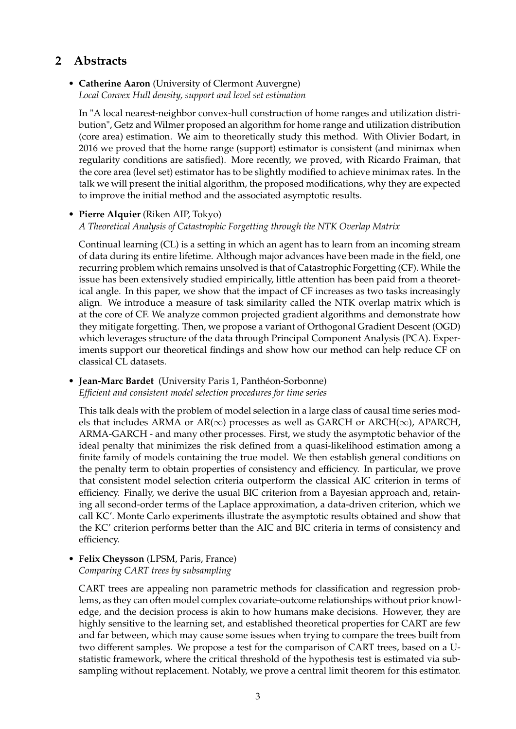# <span id="page-2-0"></span>**2 Abstracts**

### • **Catherine Aaron** (University of Clermont Auvergne) *Local Convex Hull density, support and level set estimation*

In "A local nearest-neighbor convex-hull construction of home ranges and utilization distribution", Getz and Wilmer proposed an algorithm for home range and utilization distribution (core area) estimation. We aim to theoretically study this method. With Olivier Bodart, in 2016 we proved that the home range (support) estimator is consistent (and minimax when regularity conditions are satisfied). More recently, we proved, with Ricardo Fraiman, that the core area (level set) estimator has to be slightly modified to achieve minimax rates. In the talk we will present the initial algorithm, the proposed modifications, why they are expected to improve the initial method and the associated asymptotic results.

#### • **Pierre Alquier** (Riken AIP, Tokyo)

*A Theoretical Analysis of Catastrophic Forgetting through the NTK Overlap Matrix*

Continual learning (CL) is a setting in which an agent has to learn from an incoming stream of data during its entire lifetime. Although major advances have been made in the field, one recurring problem which remains unsolved is that of Catastrophic Forgetting (CF). While the issue has been extensively studied empirically, little attention has been paid from a theoretical angle. In this paper, we show that the impact of CF increases as two tasks increasingly align. We introduce a measure of task similarity called the NTK overlap matrix which is at the core of CF. We analyze common projected gradient algorithms and demonstrate how they mitigate forgetting. Then, we propose a variant of Orthogonal Gradient Descent (OGD) which leverages structure of the data through Principal Component Analysis (PCA). Experiments support our theoretical findings and show how our method can help reduce CF on classical CL datasets.

### • **Jean-Marc Bardet** (University Paris 1, Panthéon-Sorbonne) *Efficient and consistent model selection procedures for time series*

This talk deals with the problem of model selection in a large class of causal time series models that includes ARMA or AR( $\infty$ ) processes as well as GARCH or ARCH( $\infty$ ), APARCH, ARMA-GARCH - and many other processes. First, we study the asymptotic behavior of the ideal penalty that minimizes the risk defined from a quasi-likelihood estimation among a finite family of models containing the true model. We then establish general conditions on the penalty term to obtain properties of consistency and efficiency. In particular, we prove that consistent model selection criteria outperform the classical AIC criterion in terms of efficiency. Finally, we derive the usual BIC criterion from a Bayesian approach and, retaining all second-order terms of the Laplace approximation, a data-driven criterion, which we call KC'. Monte Carlo experiments illustrate the asymptotic results obtained and show that the KC' criterion performs better than the AIC and BIC criteria in terms of consistency and efficiency.

#### • **Felix Cheysson** (LPSM, Paris, France) *Comparing CART trees by subsampling*

CART trees are appealing non parametric methods for classification and regression problems, as they can often model complex covariate-outcome relationships without prior knowledge, and the decision process is akin to how humans make decisions. However, they are highly sensitive to the learning set, and established theoretical properties for CART are few and far between, which may cause some issues when trying to compare the trees built from two different samples. We propose a test for the comparison of CART trees, based on a Ustatistic framework, where the critical threshold of the hypothesis test is estimated via subsampling without replacement. Notably, we prove a central limit theorem for this estimator.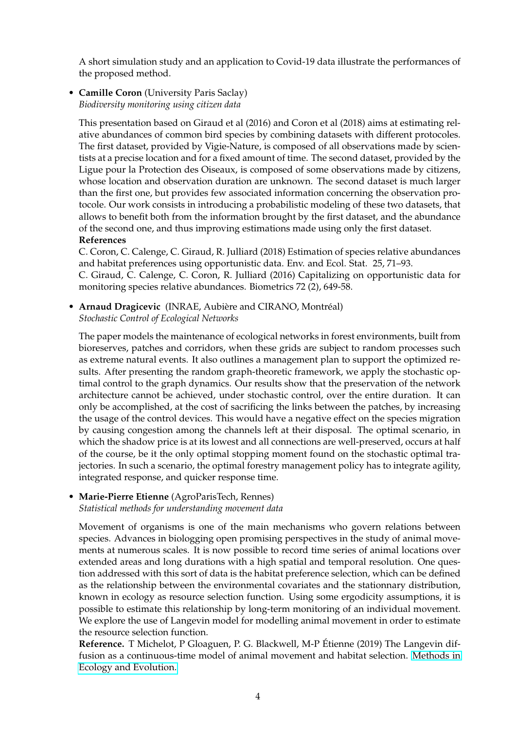A short simulation study and an application to Covid-19 data illustrate the performances of the proposed method.

• **Camille Coron** (University Paris Saclay) *Biodiversity monitoring using citizen data*

This presentation based on Giraud et al (2016) and Coron et al (2018) aims at estimating relative abundances of common bird species by combining datasets with different protocoles. The first dataset, provided by Vigie-Nature, is composed of all observations made by scientists at a precise location and for a fixed amount of time. The second dataset, provided by the Ligue pour la Protection des Oiseaux, is composed of some observations made by citizens, whose location and observation duration are unknown. The second dataset is much larger than the first one, but provides few associated information concerning the observation protocole. Our work consists in introducing a probabilistic modeling of these two datasets, that allows to benefit both from the information brought by the first dataset, and the abundance of the second one, and thus improving estimations made using only the first dataset. **References**

C. Coron, C. Calenge, C. Giraud, R. Julliard (2018) Estimation of species relative abundances and habitat preferences using opportunistic data. Env. and Ecol. Stat. 25, 71–93. C. Giraud, C. Calenge, C. Coron, R. Julliard (2016) Capitalizing on opportunistic data for monitoring species relative abundances. Biometrics 72 (2), 649-58.

• **Arnaud Dragicevic** (INRAE, Aubière and CIRANO, Montréal) *Stochastic Control of Ecological Networks*

The paper models the maintenance of ecological networks in forest environments, built from bioreserves, patches and corridors, when these grids are subject to random processes such as extreme natural events. It also outlines a management plan to support the optimized results. After presenting the random graph-theoretic framework, we apply the stochastic optimal control to the graph dynamics. Our results show that the preservation of the network architecture cannot be achieved, under stochastic control, over the entire duration. It can only be accomplished, at the cost of sacrificing the links between the patches, by increasing the usage of the control devices. This would have a negative effect on the species migration by causing congestion among the channels left at their disposal. The optimal scenario, in which the shadow price is at its lowest and all connections are well-preserved, occurs at half of the course, be it the only optimal stopping moment found on the stochastic optimal trajectories. In such a scenario, the optimal forestry management policy has to integrate agility, integrated response, and quicker response time.

#### • **Marie-Pierre Etienne** (AgroParisTech, Rennes) *Statistical methods for understanding movement data*

Movement of organisms is one of the main mechanisms who govern relations between species. Advances in biologging open promising perspectives in the study of animal movements at numerous scales. It is now possible to record time series of animal locations over extended areas and long durations with a high spatial and temporal resolution. One question addressed with this sort of data is the habitat preference selection, which can be defined as the relationship between the environmental covariates and the stationnary distribution, known in ecology as resource selection function. Using some ergodicity assumptions, it is possible to estimate this relationship by long-term monitoring of an individual movement. We explore the use of Langevin model for modelling animal movement in order to estimate the resource selection function.

**Reference.** T Michelot, P Gloaguen, P. G. Blackwell, M-P Étienne (2019) The Langevin diffusion as a continuous-time model of animal movement and habitat selection. [Methods in](https://doi.org/10.1111/2041-210X.13275) [Ecology and Evolution.](https://doi.org/10.1111/2041-210X.13275)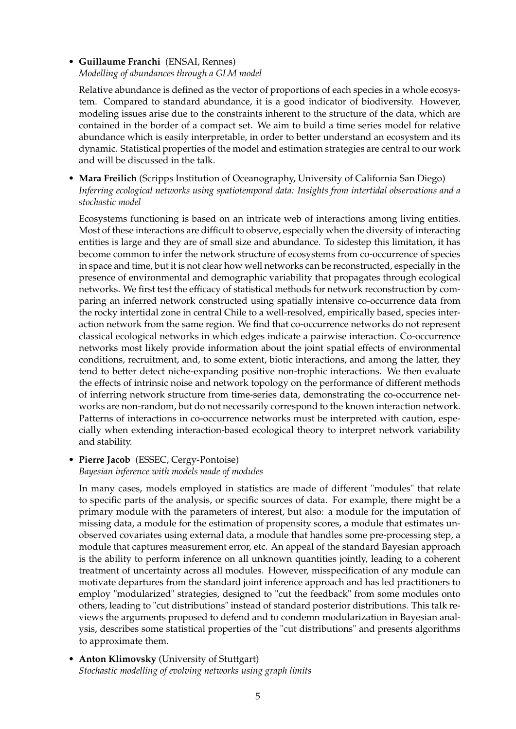### • **Guillaume Franchi** (ENSAI, Rennes) *Modelling of abundances through a GLM model*

Relative abundance is defined as the vector of proportions of each species in a whole ecosystem. Compared to standard abundance, it is a good indicator of biodiversity. However, modeling issues arise due to the constraints inherent to the structure of the data, which are contained in the border of a compact set. We aim to build a time series model for relative abundance which is easily interpretable, in order to better understand an ecosystem and its dynamic. Statistical properties of the model and estimation strategies are central to our work and will be discussed in the talk.

• **Mara Freilich** (Scripps Institution of Oceanography, University of California San Diego) *Inferring ecological networks using spatiotemporal data: Insights from intertidal observations and a stochastic model*

Ecosystems functioning is based on an intricate web of interactions among living entities. Most of these interactions are difficult to observe, especially when the diversity of interacting entities is large and they are of small size and abundance. To sidestep this limitation, it has become common to infer the network structure of ecosystems from co-occurrence of species in space and time, but it is not clear how well networks can be reconstructed, especially in the presence of environmental and demographic variability that propagates through ecological networks. We first test the efficacy of statistical methods for network reconstruction by comparing an inferred network constructed using spatially intensive co-occurrence data from the rocky intertidal zone in central Chile to a well-resolved, empirically based, species interaction network from the same region. We find that co-occurrence networks do not represent classical ecological networks in which edges indicate a pairwise interaction. Co-occurrence networks most likely provide information about the joint spatial effects of environmental conditions, recruitment, and, to some extent, biotic interactions, and among the latter, they tend to better detect niche-expanding positive non-trophic interactions. We then evaluate the effects of intrinsic noise and network topology on the performance of different methods of inferring network structure from time-series data, demonstrating the co-occurrence networks are non-random, but do not necessarily correspond to the known interaction network. Patterns of interactions in co-occurrence networks must be interpreted with caution, especially when extending interaction-based ecological theory to interpret network variability and stability.

## • **Pierre Jacob** (ESSEC, Cergy-Pontoise)

### *Bayesian inference with models made of modules*

In many cases, models employed in statistics are made of different "modules" that relate to specific parts of the analysis, or specific sources of data. For example, there might be a primary module with the parameters of interest, but also: a module for the imputation of missing data, a module for the estimation of propensity scores, a module that estimates unobserved covariates using external data, a module that handles some pre-processing step, a module that captures measurement error, etc. An appeal of the standard Bayesian approach is the ability to perform inference on all unknown quantities jointly, leading to a coherent treatment of uncertainty across all modules. However, misspecification of any module can motivate departures from the standard joint inference approach and has led practitioners to employ "modularized" strategies, designed to "cut the feedback" from some modules onto others, leading to "cut distributions" instead of standard posterior distributions. This talk reviews the arguments proposed to defend and to condemn modularization in Bayesian analysis, describes some statistical properties of the "cut distributions" and presents algorithms to approximate them.

• **Anton Klimovsky** (University of Stuttgart) *Stochastic modelling of evolving networks using graph limits*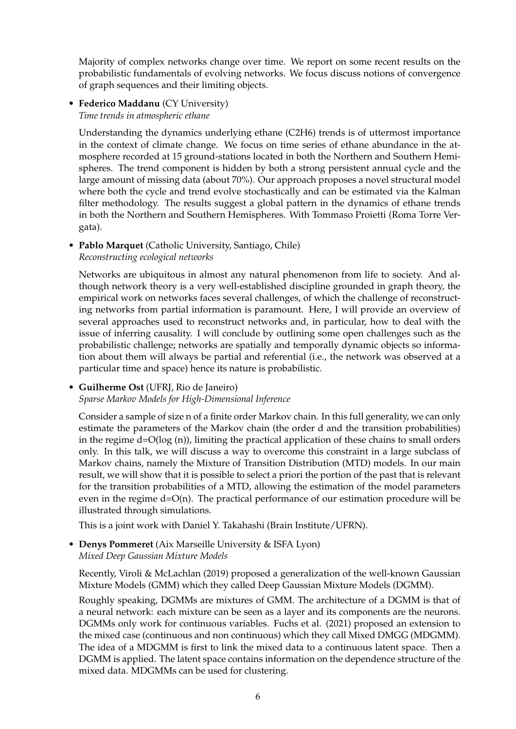Majority of complex networks change over time. We report on some recent results on the probabilistic fundamentals of evolving networks. We focus discuss notions of convergence of graph sequences and their limiting objects.

#### • **Federico Maddanu** (CY University) *Time trends in atmospheric ethane*

Understanding the dynamics underlying ethane (C2H6) trends is of uttermost importance in the context of climate change. We focus on time series of ethane abundance in the atmosphere recorded at 15 ground-stations located in both the Northern and Southern Hemispheres. The trend component is hidden by both a strong persistent annual cycle and the large amount of missing data (about 70%). Our approach proposes a novel structural model where both the cycle and trend evolve stochastically and can be estimated via the Kalman filter methodology. The results suggest a global pattern in the dynamics of ethane trends in both the Northern and Southern Hemispheres. With Tommaso Proietti (Roma Torre Vergata).

• **Pablo Marquet** (Catholic University, Santiago, Chile) *Reconstructing ecological networks*

Networks are ubiquitous in almost any natural phenomenon from life to society. And although network theory is a very well-established discipline grounded in graph theory, the empirical work on networks faces several challenges, of which the challenge of reconstructing networks from partial information is paramount. Here, I will provide an overview of several approaches used to reconstruct networks and, in particular, how to deal with the issue of inferring causality. I will conclude by outlining some open challenges such as the probabilistic challenge; networks are spatially and temporally dynamic objects so information about them will always be partial and referential (i.e., the network was observed at a particular time and space) hence its nature is probabilistic.

### • **Guilherme Ost** (UFRJ, Rio de Janeiro)

*Sparse Markov Models for High-Dimensional Inference*

Consider a sample of size n of a finite order Markov chain. In this full generality, we can only estimate the parameters of the Markov chain (the order d and the transition probabilities) in the regime d=O(log (n)), limiting the practical application of these chains to small orders only. In this talk, we will discuss a way to overcome this constraint in a large subclass of Markov chains, namely the Mixture of Transition Distribution (MTD) models. In our main result, we will show that it is possible to select a priori the portion of the past that is relevant for the transition probabilities of a MTD, allowing the estimation of the model parameters even in the regime  $d=O(n)$ . The practical performance of our estimation procedure will be illustrated through simulations.

This is a joint work with Daniel Y. Takahashi (Brain Institute/UFRN).

• **Denys Pommeret** (Aix Marseille University & ISFA Lyon) *Mixed Deep Gaussian Mixture Models*

Recently, Viroli & McLachlan (2019) proposed a generalization of the well-known Gaussian Mixture Models (GMM) which they called Deep Gaussian Mixture Models (DGMM).

Roughly speaking, DGMMs are mixtures of GMM. The architecture of a DGMM is that of a neural network: each mixture can be seen as a layer and its components are the neurons. DGMMs only work for continuous variables. Fuchs et al. (2021) proposed an extension to the mixed case (continuous and non continuous) which they call Mixed DMGG (MDGMM). The idea of a MDGMM is first to link the mixed data to a continuous latent space. Then a DGMM is applied. The latent space contains information on the dependence structure of the mixed data. MDGMMs can be used for clustering.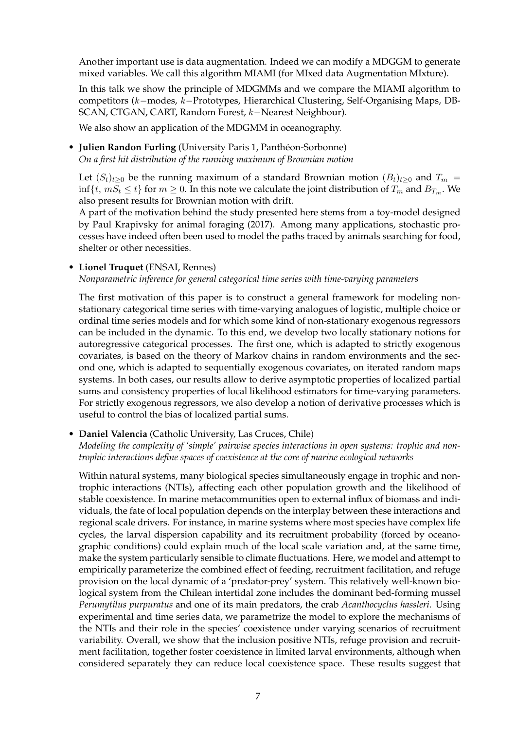Another important use is data augmentation. Indeed we can modify a MDGGM to generate mixed variables. We call this algorithm MIAMI (for MIxed data Augmentation MIxture).

In this talk we show the principle of MDGMMs and we compare the MIAMI algorithm to competitors (k−modes, k−Prototypes, Hierarchical Clustering, Self-Organising Maps, DB-SCAN, CTGAN, CART, Random Forest, k−Nearest Neighbour).

We also show an application of the MDGMM in oceanography.

### • **Julien Randon Furling** (University Paris 1, Panthéon-Sorbonne) *On a first hit distribution of the running maximum of Brownian motion*

Let  $(S_t)_{t>0}$  be the running maximum of a standard Brownian motion  $(B_t)_{t>0}$  and  $T_m =$ inf $\{t, mS_t \le t\}$  for  $m \ge 0$ . In this note we calculate the joint distribution of  $T_m$  and  $B_{T_m}$ . We also present results for Brownian motion with drift.

A part of the motivation behind the study presented here stems from a toy-model designed by Paul Krapivsky for animal foraging (2017). Among many applications, stochastic processes have indeed often been used to model the paths traced by animals searching for food, shelter or other necessities.

#### • **Lionel Truquet** (ENSAI, Rennes)

*Nonparametric inference for general categorical time series with time-varying parameters*

The first motivation of this paper is to construct a general framework for modeling nonstationary categorical time series with time-varying analogues of logistic, multiple choice or ordinal time series models and for which some kind of non-stationary exogenous regressors can be included in the dynamic. To this end, we develop two locally stationary notions for autoregressive categorical processes. The first one, which is adapted to strictly exogenous covariates, is based on the theory of Markov chains in random environments and the second one, which is adapted to sequentially exogenous covariates, on iterated random maps systems. In both cases, our results allow to derive asymptotic properties of localized partial sums and consistency properties of local likelihood estimators for time-varying parameters. For strictly exogenous regressors, we also develop a notion of derivative processes which is useful to control the bias of localized partial sums.

### • **Daniel Valencia** (Catholic University, Las Cruces, Chile)

*Modeling the complexity of 'simple' pairwise species interactions in open systems: trophic and nontrophic interactions define spaces of coexistence at the core of marine ecological networks*

Within natural systems, many biological species simultaneously engage in trophic and nontrophic interactions (NTIs), affecting each other population growth and the likelihood of stable coexistence. In marine metacommunities open to external influx of biomass and individuals, the fate of local population depends on the interplay between these interactions and regional scale drivers. For instance, in marine systems where most species have complex life cycles, the larval dispersion capability and its recruitment probability (forced by oceanographic conditions) could explain much of the local scale variation and, at the same time, make the system particularly sensible to climate fluctuations. Here, we model and attempt to empirically parameterize the combined effect of feeding, recruitment facilitation, and refuge provision on the local dynamic of a 'predator-prey' system. This relatively well-known biological system from the Chilean intertidal zone includes the dominant bed-forming mussel *Perumytilus purpuratus* and one of its main predators, the crab *Acanthocyclus hassleri*. Using experimental and time series data, we parametrize the model to explore the mechanisms of the NTIs and their role in the species' coexistence under varying scenarios of recruitment variability. Overall, we show that the inclusion positive NTIs, refuge provision and recruitment facilitation, together foster coexistence in limited larval environments, although when considered separately they can reduce local coexistence space. These results suggest that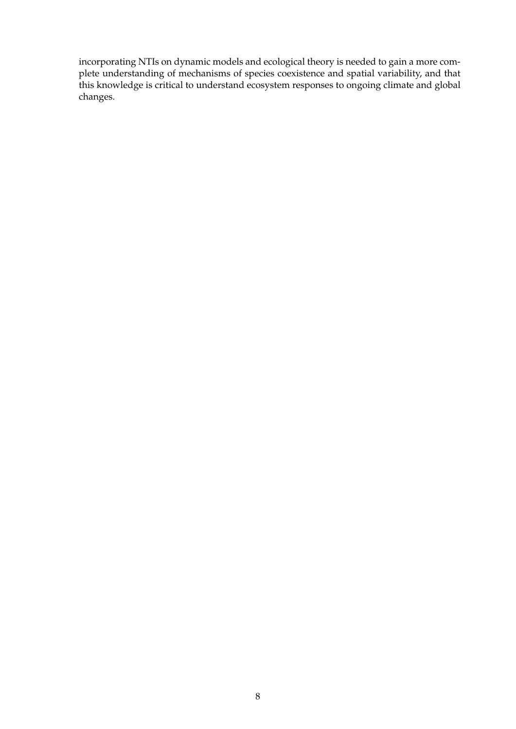incorporating NTIs on dynamic models and ecological theory is needed to gain a more complete understanding of mechanisms of species coexistence and spatial variability, and that this knowledge is critical to understand ecosystem responses to ongoing climate and global changes.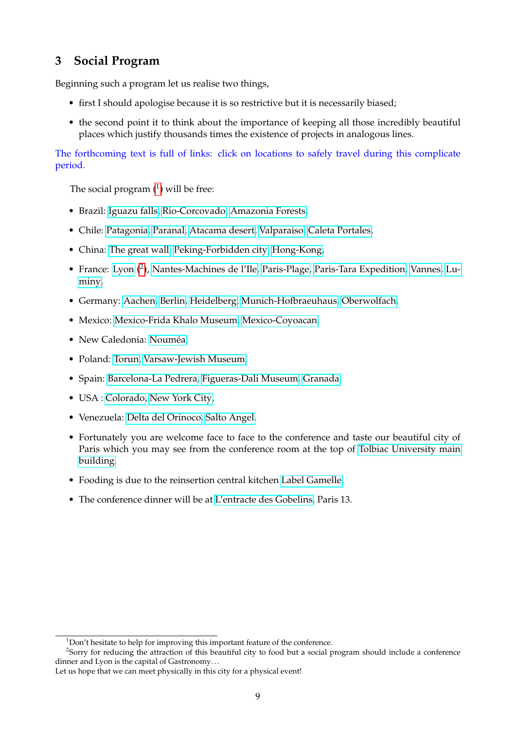# <span id="page-8-0"></span>**3 Social Program**

Beginning such a program let us realise two things,

- first I should apologise because it is so restrictive but it is necessarily biased;
- the second point it to think about the importance of keeping all those incredibly beautiful places which justify thousands times the existence of projects in analogous lines.

The forthcoming text is full of links: click on locations to safely travel during this complicate period.

The social program  $(^1)$  $(^1)$  $(^1)$  will be free:

- Brazil: [Iguazu falls,](https://iguazuargentina.com/en/index) [Rio-Corcovado,](https://www.google.com/search?q=corcovado&sxsrf=ALeKk00IzVVZnadUcDEKbeCHpnX-J1nP1A:1595531654444&source=lnms&tbm=isch&sa=X&ved=2ahUKEwiLqvbLiuTqAhWfAWMBHZ4qCEEQ_AUoAXoECBcQAw&biw=1280&bih=614) [Amazonia Forests,](https://www.google.com/search?q=brasil+forest&sxsrf=ALeKk00d8cJXe6Uy6eurWg5163QLIT0tbQ:1595532014928&source=lnms&tbm=isch&sa=X&ved=2ahUKEwjqvuj3i-TqAhX7DWMBHdZCBzsQ_AUoAXoECA0QAw&biw=1280&bih=614)
- Chile: [Patagonia,](https://www.google.com/search?q=patagonia+chile&tbm=isch&ved=2ahUKEwj4n5qGutnqAhVCYxoKHeavAWIQ2-cCegQIABAA&oq=patagonia+chile&gs_lcp=CgNpbWcQAzICCAAyAggAMgQIABAeMgQIABAeMgQIABAeMgQIABAeMgQIABAeMgQIABAeMgQIABAeMgQIABAeOgQIABBDUPwTWLskYOYnaABwAHgAgAH2AYgBgQmSAQUwLjQuMpgBAKABAaoBC2d3cy13aXotaW1nwAEB&sclient=img&ei=5E4UX_gdwsZp5t-GkAY&bih=614&biw=1280) [Paranal,](https://www.google.com/search?q=paranal+observatory+antofagasta+region+chile&tbm=isch&ved=2ahUKEwij6MWJutnqAhUP-xoKHZIjACAQ2-cCegQIABAA&oq=paranal+chile&gs_lcp=CgNpbWcQARgAMggIABAHEB4QEzIICAAQBxAeEBMyCAgAEAUQHhATMggIABAFEB4QEzIICAAQBxAeEBMyCAgAEAUQHhATOgYIABAHEB46CAgAEAcQBRAeUOSbB1iZqQdg27cHaABwAHgAgAHJBYgBqBCSAQ0wLjEuMS4xLjAuMS4xmAEAoAEBqgELZ3dzLXdpei1pbWfAAQE&sclient=img&ei=604UX-NGj_ZrkseAgAI&bih=614&biw=1280) [Atacama desert,](https://www.google.com/search?q=atacama+chile&tbm=isch&ved=2ahUKEwjdubLEutnqAhVQ_4UKHdusD-gQ2-cCegQIABAA&oq=atacama+chile&gs_lcp=CgNpbWcQARgAMgIIADIGCAAQBxAeMgYIABAHEB4yBggAEAcQHjIGCAAQBxAeMgYIABAHEB4yBggAEAcQHjIGCAAQBxAeMgYIABAHEB4yBggAEAcQHjoECAAQEzoICAAQBxAeEBNQ_LgGWNzLBmD43wZoAHAAeACAAc8BiAGjCpIBBTAuNS4ymAEAoAEBqgELZ3dzLXdpei1pbWfAAQE&sclient=img&ei=Zk8UX93uGdD-lwTb2b7ADg&bih=614&biw=1280) [Valparaiso,](https://www.google.com/search?q=valparaiso+chile&tbm=isch&ved=2ahUKEwjo58rBu9nqAhWMIRoKHbYaBUkQ2-cCegQIABAA&oq=valparaiso+chile&gs_lcp=CgNpbWcQAzICCAAyBggAEAcQHjIECAAQHjIECAAQHjIECAAQHjIECAAQHjIECAAQHjIECAAQHjIECAAQHjIECAAQHlCzZFi5e2DCiQFoAHAAeAGAAcILiAGwMpIBCzItMi41LTIuMS4zmAEAoAEBqgELZ3dzLXdpei1pbWfAAQE&sclient=img&ei=bFAUX-iBO4zDaLa1lMgE&bih=614&biw=1280) [Caleta Portales,](https://www.google.com/search?q=caleta+portales++leon+de+mar+chile&tbm=isch&ved=2ahUKEwiJ1ITru9nqAhVW_IUKHbTMDZkQ2-cCegQIABAA&oq=caleta+portales++leon+de+mar+chile&gs_lcp=CgNpbWcQAzoECCMQJ1CNIljmS2DWTWgAcAB4AIAB4AKIAfAakgEIMC4xMS41LjGYAQCgAQGqAQtnd3Mtd2l6LWltZ8ABAQ&sclient=img&ei=w1AUX8nmNtb4lwS0mbfICQ&bih=614&biw=1280)
- China: [The great wall,](http://www.mutianyugreatwall.com/en/home) [Peking-Forbidden city,](https://en.dpm.org.cn/) [Hong-Kong,](https://www.google.com/search?q=hong+kong&sxsrf=ALeKk032K05EArU6yWd4oCxUcBUo_zBimw:1595990291070&source=lnms&tbm=isch&sa=X&ved=2ahUKEwihuPSSt_HqAhXuz4UKHRMKAxsQ_AUoAXoECBwQAw)
- France: [Lyon](https://www.google.com/search?q=lyon+gastronomie&tbm=isch&ved=2ahUKEwiJy8ubvdnqAhUU8IUKHa4DC1MQ2-cCegQIABAA&oq=lyon+gastro&gs_lcp=CgNpbWcQARgBMgIIADICCAAyBAgAEB4yBggAEAgQHjIGCAAQCBAeMgYIABAIEB4yBggAEAgQHjIGCAAQCBAeMgYIABAIEB4yBggAEAgQHjoECCMQJzoECAAQQzoFCAAQsQNQnu4BWIKQAmD-oQJoAXAAeACAAckKiAHuIZIBDzAuMS40LjAuMS4xLjEuMZgBAKABAaoBC2d3cy13aXotaW1nwAEB&sclient=img&ei=NlIUX4nYCZTglwSuh6yYBQ&bih=614&biw=1280)  $(2)$  $(2)$  $(2)$ , [Nantes-Machines de l'Ile,](https://www.lesmachines-nantes.fr/en/) [Paris-Plage,](https://www.google.com/search?q=paris+plage&tbm=isch&ved=2ahUKEwikpa74vNnqAhVQ0RoKHe7WBRAQ2-cCegQIABAA&oq=+paris&gs_lcp=CgNpbWcQARgIMgQIIxAnMgcIABCxAxBDMgUIABCxAzIECAAQQzIFCAAQsQMyBAgAEEMyBwgAELEDEEMyBwgAELEDEEMyCAgAELEDEIMBMgQIABBDUNQgWNQgYINcaABwAHgAgAHODYgBzg2SAQM4LTGYAQCgAQGqAQtnd3Mtd2l6LWltZ8ABAQ&sclient=img&ei=7FEUX6T_ENCia-6tl4AB&bih=614&biw=1280) [Paris-Tara Expedition,](https://oceans.taraexpeditions.org/en/) [Vannes,](https://www.google.com/search?q=vannes+bretagne+vieille+ville&tbm=isch&ved=2ahUKEwinsrCSvdnqAhUZ_RoKHQ60CwUQ2-cCegQIABAA&oq=vannes+bretagne+vieille+ville&gs_lcp=CgNpbWcQAzoCCAA6BAgAEB46BggAEAUQHjoGCAAQCBAeOgQIABAYUMtEWPWCAWC5iwFoBnAAeAKAAbcHiAGHOJIBDTIuNy43LjMuMi4xLjKYAQCgAQGqAQtnd3Mtd2l6LWltZ8ABAQ&sclient=img&ei=IlIUX6eZM5n6a47orig&bih=614&biw=1280) [Lu](https://www.cirm-math.com/)[miny,](https://www.cirm-math.com/)
- Germany: [Aachen,](https://www.google.com/search?q=aachen&tbm=isch&ved=2ahUKEwiMt46QwNnqAhVU0IUKHeijBOcQ2-cCegQIABAA&oq=aachen&gs_lcp=CgNpbWcQAzIECAAQQzIFCAAQsQMyBQgAELEDMgUIABCxAzIICAAQsQMQgwEyCAgAELEDEIMBMgIIADICCAAyBQgAELEDMgUIABCxAzoECCMQJ1DwTFjsWmDcYWgAcAB4AIAB0AqIAZEPkgEHNS0xLjAuMZgBAKABAaoBC2d3cy13aXotaW1nwAEB&sclient=img&ei=Q1UUX8yJGNSglwTox5K4Dg&bih=614&biw=1280) [Berlin,](https://www.berlin.de/en/attractions-and-sights/3560059-3104052-checkpoint-charlie.en.html) [Heidelberg,](https://www.google.com/search?q=heidelberg&sxsrf=ALeKk01dR6lKPPKQAfmdBwRLbU3aPJ4sWA:1595168014107&source=lnms&tbm=isch&sa=X&ved=2ahUKEwju3tn2v9nqAhXCyYUKHcOBBooQ_AUoAnoECCEQBA&biw=1280&bih=614) [Munich-Hofbraeuhaus,](https://www.hofbraeuhaus.de/en/welcome.html) [Oberwolfach,](https://www.mfo.de/)
- Mexico: [Mexico-Frida Khalo Museum,](https://www.museofridakahlo.org.mx/en/) [Mexico-Coyoacan,](https://www.google.com/search?q=coyoacan&sxsrf=ALeKk00ES9mrLZl8OIVGTqmlsTlWXYxMrQ:1595531859084&source=lnms&tbm=isch&sa=X&ved=2ahUKEwjdx8Cti-TqAhXNDmMBHRMlCz4Q_AUoA3oECBwQBQ&biw=1280&bih=614)
- New Caledonia: [Nouméa,](https://www.google.com/search?q=noumea&sxsrf=ALeKk03ib_Z_T7z76OsYu6iGWr2igMNJUA:1595168367774&source=lnms&tbm=isch&sa=X&ved=2ahUKEwji4qufwdnqAhUD4BoKHWWSBAAQ_AUoAnoECCEQBA&biw=1280&bih=614)
- Poland: [Torun,](https://www.google.com/search?q=pologne+torun+central+place&tbm=isch&ved=2ahUKEwieyJybh-TqAhVJlBoKHWchDWAQ2-cCegQIABAA&oq=pologne+torun+central+place&gs_lcp=CgNpbWcQAzoECAAQHlCyKliPSWDJTmgAcAB4AIABeYgBqwmSAQQxMi4ymAEAoAEBqgELZ3dzLXdpei1pbWfAAQE&sclient=img&ei=-t0ZX57jPMmoaufCtIAG&bih=614&biw=1280) [Varsaw-Jewish Museum,](https://www.polin.pl/en)
- Spain: [Barcelona-La Pedrera,](https://www.lapedrera.com/en) [Figueras-Dali Museum,](https://www.salvador-dali.org/en/museums/figueres/) [Granada,](https://www.google.com/search?q=+alhambra&tbm=isch&ved=2ahUKEwiH3K-zwNnqAhURhhoKHVlNDN8Q2-cCegQIABAA&oq=+alhambra&gs_lcp=CgNpbWcQAzIHCAAQsQMQQzIECAAQQzICCAAyAggAMgIIADIECAAQQzIECAAQQzICCAAyAggAMgIIAFDbMFjbMGDHQGgAcAB4AIABgAGIAYABkgEDMC4xmAEAoAEBqgELZ3dzLXdpei1pbWfAAQE&sclient=img&ei=jVUUX8fhFJGMatmasfgN&bih=614&biw=1280)
- USA : [Colorado,](https://www.google.com/search?q=colorado+canyon+big+bend&tbm=isch&ved=2ahUKEwjn-Y_Np8LxAhUBEhoKHbz2BtIQ2-cCegQIABAA&oq=Colorado+canyon&gs_lcp=CgNpbWcQARgBMgIIADIECAAQHjIECAAQHjIECAAQHjIECAAQHjIECAAQHjIECAAQHjIECAAQHjIECAAQHjIECAAQHjoECAAQQ1D7O1jaUGCIZGgAcAB4AIABnQGIAbwFkgEDNS4ymAEAoAEBqgELZ3dzLXdpei1pbWfAAQE&sclient=img&ei=oO_dYOepA4GkaLztm5AN&bih=712&biw=1438&rlz=1C5CHFA_enFR939FR940) [New York City,](https://www.google.com/search?q=NYC&tbm=isch&ved=2ahUKEwjrh-7xu9nqAhUBw4UKHVDPDYIQ2-cCegQIABAA&oq=NYC&gs_lcp=CgNpbWcQAzICCAAyAggAMgIIADICCAAyAggAMgIIADICCAAyAggAMgIIADICCAA6BAgjECc6BQgAELEDOgQIABBDUOTnAljziANgv5QDaABwAHgAgAGJA4gBtgeSAQcwLjEuMC4ymAEAoAEBqgELZ3dzLXdpei1pbWfAAQE&sclient=img&ei=0lAUX-vWDIGGlwTQnreQCA&bih=614&biw=1280)
- Venezuela: [Delta del Orinoco,](https://www.google.com/search?q=delta+orinoco&sxsrf=ALeKk02UbHjNZZEVLOQG1cG1CNmR-DksBg:1595531358504&source=lnms&tbm=isch&sa=X&ved=2ahUKEwjFyue-ieTqAhUR_RQKHTDEDzUQ_AUoAXoECBoQAw&biw=1280&bih=614) [Salto Angel.](https://www.google.com/search?q=salto+angel&sxsrf=ALeKk02vpMU3uqzN89yyMx8zgmUt7IADQQ:1595531456963&source=lnms&tbm=isch&sa=X&ved=2ahUKEwj7geHtieTqAhWPDWMBHT2GCjsQ_AUoAXoECB0QAw&biw=1280&bih=614)
- Fortunately you are welcome face to face to the conference and taste our beautiful city of Paris which you may see from the conference room at the top of [Tolbiac University main](https://upload.wikimedia.org/wikipedia/fr/thumb/4/42/CentrePMF_Paris1.jpg/1024px-CentrePMF_Paris1.jpg) [building.](https://upload.wikimedia.org/wikipedia/fr/thumb/4/42/CentrePMF_Paris1.jpg/1024px-CentrePMF_Paris1.jpg)
- Fooding is due to the reinsertion central kitchen [Label Gamelle,](https://www.labelgamelle.fr/)
- The conference dinner will be at [L'entracte des Gobelins,](https://fr.restaurantguru.com/LEntracte-des-Gobelins-Paris) Paris 13.

<span id="page-8-2"></span><span id="page-8-1"></span><sup>&</sup>lt;sup>1</sup>Don't hesitate to help for improving this important feature of the conference.

 $2$ Sorry for reducing the attraction of this beautiful city to food but a social program should include a conference dinner and Lyon is the capital of Gastronomy. . .

Let us hope that we can meet physically in this city for a physical event!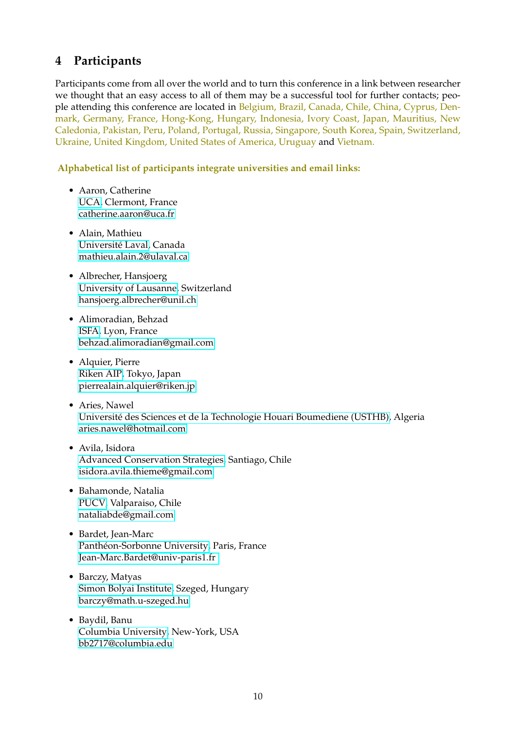# <span id="page-9-0"></span>**4 Participants**

Participants come from all over the world and to turn this conference in a link between researcher we thought that an easy access to all of them may be a successful tool for further contacts; people attending this conference are located in Belgium, Brazil, Canada, Chile, China, Cyprus, Denmark, Germany, France, Hong-Kong, Hungary, Indonesia, Ivory Coast, Japan, Mauritius, New Caledonia, Pakistan, Peru, Poland, Portugal, Russia, Singapore, South Korea, Spain, Switzerland, Ukraine, United Kingdom, United States of America, Uruguay and Vietnam.

### **Alphabetical list of participants integrate universities and email links:**

- Aaron, Catherine [UCA,](https://www.uca.fr/) Clermont, France [catherine.aaron@uca.fr](mailto:catherine.aaron@uca.fr)
- Alain, Mathieu [Université Laval,](https://www.ulaval.ca/) Canada [mathieu.alain.2@ulaval.ca](mailto:mathieu.alain.2@ulaval.ca)
- Albrecher, Hansjoerg [University of Lausanne,](https://www.unil.ch/index.html) Switzerland [hansjoerg.albrecher@unil.ch](mailto:hansjoerg.albrecher@unil.ch)
- Alimoradian, Behzad [ISFA,](https://isfa.univ-lyon1.fr/) Lyon, France [behzad.alimoradian@gmail.com](mailto:behzad.alimoradian@gmail.com)
- Alquier, Pierre [Riken AIP,](https://www.riken.jp/en/research/labs/aip/) Tokyo, Japan [pierrealain.alquier@riken.jp](mailto:pierrealain.alquier@riken.jp)
- Aries, Nawel [Université des Sciences et de la Technologie Houari Boumediene \(USTHB\),](https://www.usthb.dz/en/) Algeria [aries.nawel@hotmail.com](mailto:aries.nawel@hotmail.com)
- Avila, Isidora [Advanced Conservation Strategies,](https://advancedconservation.org/) Santiago, Chile [isidora.avila.thieme@gmail.com](mailto:isidora.avila.thieme@gmail.com)
- Bahamonde, Natalia [PUCV,](http://www.pucv.cl/) Valparaiso, Chile [nataliabde@gmail.com](mailto:nataliabde@gmail.com)
- Bardet, Jean-Marc [Panthéon-Sorbonne University,](http://www.pantheonsorbonne.fr/) Paris, France [Jean-Marc.Bardet@univ-paris1.fr](mailto:Jean-Marc.Bardet@univ-paris1.fr )
- Barczy, Matyas [Simon Bolyai Institute,](https://u-szeged.hu/) Szeged, Hungary [barczy@math.u-szeged.hu](mailto:barczy@math.u-szeged.hu)
- Baydil, Banu [Columbia University,](https://www.columbia.edu/) New-York, USA [bb2717@columbia.edu](mailto:bb2717@columbia.edu)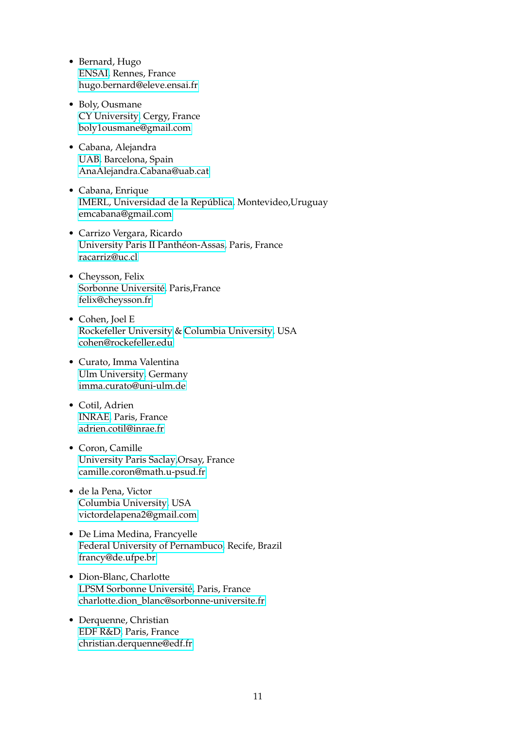- Bernard, Hugo [ENSAI,](http://www.ensai.fr/) Rennes, France [hugo.bernard@eleve.ensai.fr](mailto:hugo.bernard@eleve.ensai.fr)
- Boly, Ousmane [CY University,](https://www.cyu.fr/) Cergy, France [boly1ousmane@gmail.com](mailto:boly1ousmane@gmail.com)
- Cabana, Alejandra [UAB,](https://www.uab.cat/) Barcelona, Spain [AnaAlejandra.Cabana@uab.cat](mailto: AnaAlejandra.Cabana@uab.cat)
- Cabana, Enrique [IMERL, Universidad de la República,](https://www.fing.edu.uy/imerl/inicio) Montevideo,Uruguay [emcabana@gmail.com](mailto:emcabana@gmail.com)
- Carrizo Vergara, Ricardo [University Paris II Panthéon-Assas,](https://www.u-paris2.fr/fr) Paris, France [racarriz@uc.cl](mailto:racarriz@uc.cl)
- Cheysson, Felix [Sorbonne Université,](https://www.sorbonne-universite.fr/) Paris,France [felix@cheysson.fr](mailto:felix@cheysson.fr)
- Cohen, Joel E [Rockefeller University](https://www.rockefeller.edu/) & [Columbia University,](https://www.columbia.edu/) USA [cohen@rockefeller.edu](mailto:cohen@rockefeller.edu)
- Curato, Imma Valentina [Ulm University,](https://www.uni-ulm.de/en/university-news/news-details/article/jungbrunnen-fuer-alternde-maeuseforschende-drehen-die-epigenetische-uhr-zurueck-1/) Germany [imma.curato@uni-ulm.de](mailto:imma.curato@uni-ulm.de)
- Cotil, Adrien [INRAE,](inrae.fr) Paris, France [adrien.cotil@inrae.fr](mailto:adrien.cotil@inrae.fr)
- Coron, Camille [University Paris Saclay,](https://www.universite-paris-saclay.fr/)Orsay, France [camille.coron@math.u-psud.fr](mailto:camille.coron@math.u-psud.fr)
- de la Pena, Victor [Columbia University,](https://www.columbia.edu/) USA [victordelapena2@gmail.com](mailto:victordelapena2@gmail.com)
- De Lima Medina, Francyelle [Federal University of Pernambuco,](https://www.ufpe.br/) Recife, Brazil [francy@de.ufpe.br](mailto:francy@de.ufpe.br)
- Dion-Blanc, Charlotte [LPSM Sorbonne Université,](https://www.lpsm.paris/) Paris, France [charlotte.dion\\_blanc@sorbonne-universite.fr](mailto:charlotte.dion_blanc@sorbonne-universite.fr)
- Derquenne, Christian [EDF R&D,](https://www.edf.fr/) Paris, France [christian.derquenne@edf.fr](mailto:christian.derquenne@edf.fr)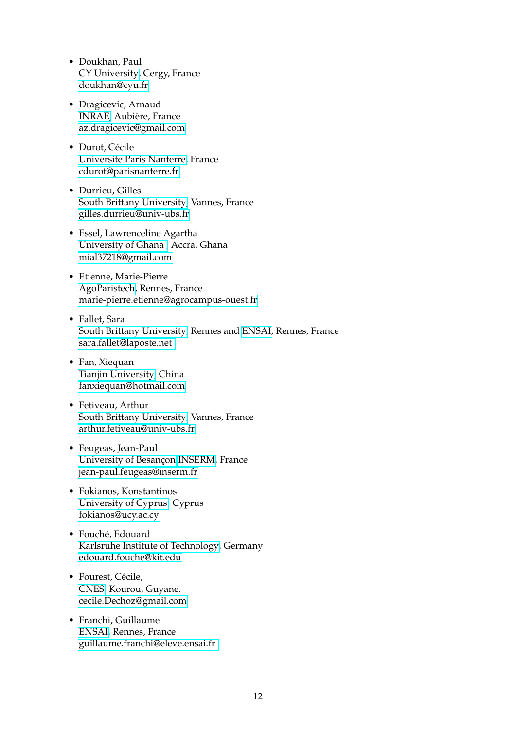- Doukhan, Paul [CY University,](https://www.cyu.fr/) Cergy, France [doukhan@cyu.fr](mailto:doukhan@cyu.fr)
- Dragicevic, Arnaud [INRAE,](https://www.inrae.fr/) Aubière, France [az.dragicevic@gmail.com](mailto:az.dragicevic@gmail.com)
- Durot, Cécile [Universite Paris Nanterre,](https://www.parisnanterre.fr/) France [cdurot@parisnanterre.fr](mailto:cdurot@parisnanterre.fr)
- Durrieu, Gilles [South Brittany University,](https://www.univ-ubs.fr/en/index.html) Vannes, France [gilles.durrieu@univ-ubs.fr](mailto:gilles.durrieu@univ-ubs.fr)
- Essel, Lawrenceline Agartha [University of Ghana ,](https://www.ug.edu.gh/) Accra, Ghana [mial37218@gmail.com](mailto:mial37218@gmail.com)
- Etienne, Marie-Pierre [AgoParistech,](https://www.institut-agro.fr/) Rennes, France [marie-pierre.etienne@agrocampus-ouest.fr](mailto:marie-pierre.etienne@agrocampus-ouest.fr)
- Fallet, Sara [South Brittany University,](https://www.univ-ubs.fr/en/index.html) Rennes and [ENSAI,](https://ensai.fr/) Rennes, France [sara.fallet@laposte.net](mailto:sara.fallet@laposte.net)
- Fan, Xiequan [Tianjin University,](http://www.tju.edu.cn/english/index.htm) China [fanxiequan@hotmail.com](mailto:fanxiequan@hotmail.com)
- Fetiveau, Arthur [South Brittany University,](https://www.univ-ubs.fr/en/index.html) Vannes, France [arthur.fetiveau@univ-ubs.fr](mailto:arthur.fetiveau@univ-ubs.fr)
- Feugeas, Jean-Paul [University of Besançon](https://www.univ-fcomte.fr/) [INSERM,](https://www.inserm.fr/) France [jean-paul.feugeas@inserm.fr](mailto:jean-paul.feugeas@inserm.fr)
- Fokianos, Konstantinos [University of Cyprus.](http://www.ucy.ac.cy/en/) Cyprus [fokianos@ucy.ac.cy](mailto:fokianos@ucy.ac.cy)
- Fouché, Edouard [Karlsruhe Institute of Technology,](http://www.kit.edu/) Germany [edouard.fouche@kit.edu](mailto:edouard.fouche@kit.edu)
- Fourest, Cécile, [CNES,](https://cnes.fr/fr) Kourou, Guyane. [cecile.Dechoz@gmail.com](mailto:cecile.Dechoz@gmail.com)
- Franchi, Guillaume [ENSAI,](http://www.ensai.fr/) Rennes, France [guillaume.franchi@eleve.ensai.fr](mailto:guillaume.franchi@eleve.ensai.fr )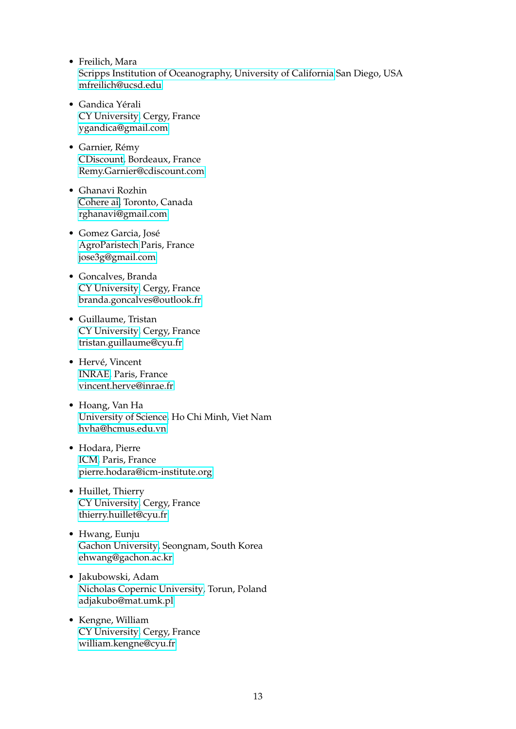- Freilich, Mara [Scripps Institution of Oceanography, University of California](https://ucsd.edu/) San Diego, USA [mfreilich@ucsd.edu](mailto:mfreilich@ucsd.edu)
- Gandica Yérali [CY University,](https://www.cyu.fr/) Cergy, France [ygandica@gmail.com](mailto:ygandica@gmail.com)
- Garnier, Rémy [CDiscount,](https://www.cdiscount.com/) Bordeaux, France [Remy.Garnier@cdiscount.com](mailto:Remy.Garnier@ext.cdiscount.com)
- Ghanavi Rozhin [Cohere ai,](#page-0-0) Toronto, Canada [rghanavi@gmail.com](mailto:rghanavi@gmail.com)
- Gomez Garcia, José [AgroParistech](http://www2.agroparistech.fr/) Paris, France [jose3g@gmail.com](mailto:jose3g@gmail.com)
- Goncalves, Branda [CY University,](https://www.cyu.fr/) Cergy, France [branda.goncalves@outlook.fr](mailto:branda.goncalves@outlook.fr)
- Guillaume, Tristan [CY University,](https://www.cyu.fr/) Cergy, France [tristan.guillaume@cyu.fr](mailto:tristan.guillaume@cyu.fr)
- Hervé, Vincent [INRAE,](inrae.fr) Paris, France [vincent.herve@inrae.fr](mailto:vincent.herve@inrae.fr)
- Hoang, Van Ha [University of Science,](https://en.hcmus.edu.vn/) Ho Chi Minh, Viet Nam [hvha@hcmus.edu.vn](mailto:hvha@hcmus.edu.vn)
- Hodara, Pierre [ICM,](https://icm-institute.org/en/) Paris, France [pierre.hodara@icm-institute.org](mailto:pierre.hodara@icm-institute.org)
- Huillet, Thierry [CY University,](https://www.cyu.fr/) Cergy, France [thierry.huillet@cyu.fr](mailto:thierry.huillet@cyu.fr)
- Hwang, Eunju [Gachon University,](https://www.gachon.ac.kr/english/) Seongnam, South Korea [ehwang@gachon.ac.kr](mailto:ehwang@gachon.ac.kr)
- Jakubowski, Adam [Nicholas Copernic University,](https://www.umk.pl/en/) Torun, Poland [adjakubo@mat.umk.pl](mailto:adjakubo@mat.umk.pl)
- Kengne, William [CY University,](https://www.cyu.fr/) Cergy, France [william.kengne@cyu.fr](mailto:william.kengne@cyu.fr)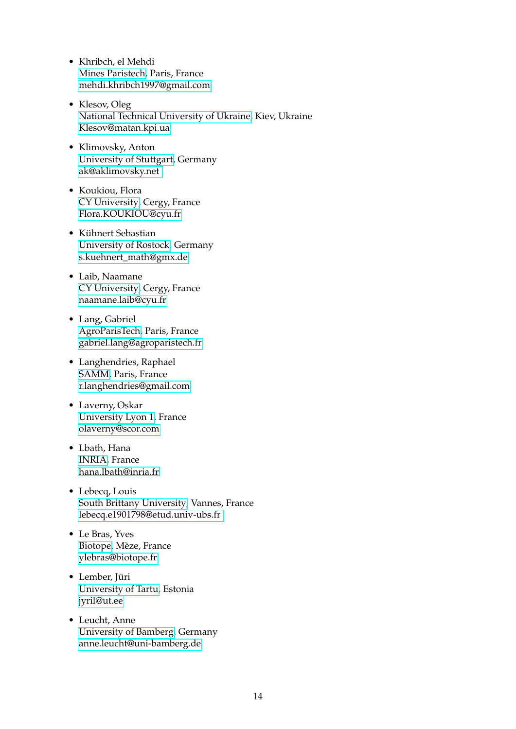- Khribch, el Mehdi [Mines Paristech,](https://www.minesparis.psl.eu/) Paris, France [mehdi.khribch1997@gmail.com](mailto:mehdi.khribch1997@gmail.com)
- Klesov, Oleg [National Technical University of Ukraine,](https://inter.kpi.ua/) Kiev, Ukraine [Klesov@matan.kpi.ua](mailto:Klesov@matan.kpi.ua)
- Klimovsky, Anton [University of Stuttgart,](https://www.uni-stuttgart.de/) Germany [ak@aklimovsky.net](mailto:ak@aklimovsky.net)
- Koukiou, Flora [CY University,](https://www.cyu.fr/) Cergy, France [Flora.KOUKIOU@cyu.fr](mailto:Flora.KOUKIOU@cyu.fr)
- Kühnert Sebastian [University of Rostock,](https://www.uni-rostock.de/) Germany [s.kuehnert\\_math@gmx.de](mailto:s.kuehnert_math@gmx.de)
- Laib, Naamane [CY University,](https://www.cyu.fr/) Cergy, France [naamane.laib@cyu.fr](mailto:naamane.laib@cyu.fr)
- Lang, Gabriel [AgroParisTech,](http://www2.agroparistech.fr/) Paris, France [gabriel.lang@agroparistech.fr](mailto: gabriel.lang@agroparistech.fr)
- Langhendries, Raphael [SAMM,](https://samm.univ-paris1.fr/) Paris, France [r.langhendries@gmail.com](mailto:r.langhendries@gmail.com)
- Laverny, Oskar [University Lyon 1,](https://www.univ-lyon1.fr/) France [olaverny@scor.com](mailto:olaverny@scor.com)
- Lbath, Hana [INRIA,](https://www.inria.fr/fr) France [hana.lbath@inria.fr](mailto:hana.lbath@inria.fr)
- Lebecq, Louis [South Brittany University,](https://www.univ-ubs.fr/en/index.html) Vannes, France [lebecq.e1901798@etud.univ-ubs.fr](mailto:lebecq.e1901798@etud.univ-ubs.fr)
- Le Bras, Yves [Biotope,](https://www.biotope.fr/) Mèze, France [ylebras@biotope.fr](mailto:ylebras@biotope.fr)
- Lember, Jüri [University of Tartu,](https://www.ut.ee/en) Estonia [jyril@ut.ee](mailto:jyril@ut.ee)
- Leucht, Anne [University of Bamberg,](https://www.uni-bamberg.de) Germany [anne.leucht@uni-bamberg.de](mailto:anne.leucht@uni-bamberg.de)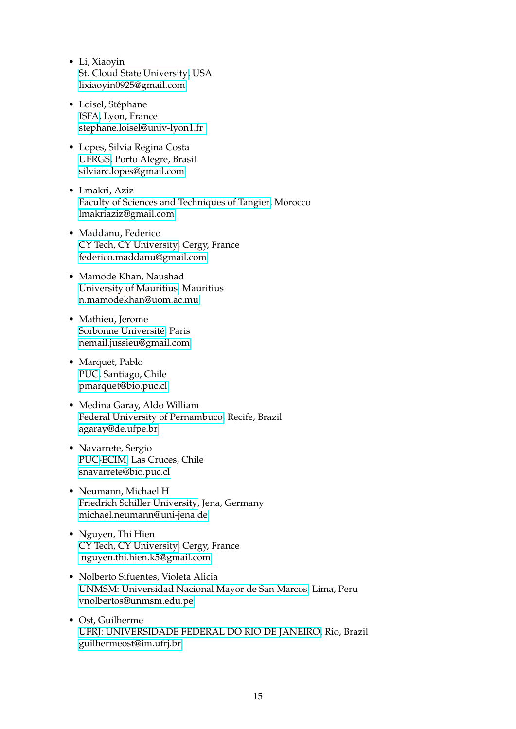- Li, Xiaoyin [St. Cloud State University,](https://www.stcloudstate.edu/) USA [lixiaoyin0925@gmail.com](mailto:lixiaoyin0925@gmail.com)
- Loisel, Stéphane [ISFA,](https://isfa.univ-lyon1.fr/) Lyon, France [stephane.loisel@univ-lyon1.fr](mailto:stephane.loisel@univ-lyon1.fr)
- Lopes, Silvia Regina Costa [UFRGS,](http://www.ufrgs.br/english/home) Porto Alegre, Brasil <silviarc.lopes@gmail.com>
- Lmakri, Aziz [Faculty of Sciences and Techniques of Tangier,](http://www.fstt.ac.ma/Portail/index.php) Morocco [lmakriaziz@gmail.com](mailto:lmakriaziz@gmail.com)
- Maddanu, Federico [CY Tech, CY University,](https://www.cyu.fr/) Cergy, France [federico.maddanu@gmail.com](mailto:federico.maddanu@gmail.com)
- Mamode Khan, Naushad [University of Mauritius,](https://www.uom.ac.mu/) Mauritius [n.mamodekhan@uom.ac.mu](mailto:n.mamodekhan@uom.ac.mu)
- Mathieu, Jerome [Sorbonne Université,](https://www.sorbonne-universite.fr/) Paris [nemail.jussieu@gmail.com](mailto:email.jussieu@gmail.com)
- Marquet, Pablo [PUC,](https://www.uc.cl/) Santiago, Chile [pmarquet@bio.puc.cl](mailto:pmarquet@bio.puc.cl)
- Medina Garay, Aldo William [Federal University of Pernambuco,](https://www.ufpe.br/) Recife, Brazil [agaray@de.ufpe.br](mailto:agaray@de.ufpe.br)
- Navarrete, Sergio [PUC](https://www.uc.cl/)[-ECIM,](http://ecim.bio.puc.cl/en/) Las Cruces, Chile [snavarrete@bio.puc.cl](mailto:snavarrete@bio.puc.cl)
- Neumann, Michael H [Friedrich Schiller University,](https://www.uni-jena.de/en) Jena, Germany [michael.neumann@uni-jena.de](mailto:michael.neumann@uni-jena.de)
- Nguyen, Thi Hien [CY Tech, CY University,](https://www.cyu.fr/) Cergy, France [nguyen.thi.hien.k5@gmail.com](mailto:nguyen.thi.hien.k5@gmail.com)
- Nolberto Sifuentes, Violeta Alicia [UNMSM: Universidad Nacional Mayor de San Marcos,](http://www.unmsm.edu.pe/) Lima, Peru [vnolbertos@unmsm.edu.pe](mailto:vnolbertos@unmsm.edu.pe)
- Ost, Guilherme [UFRJ: UNIVERSIDADE FEDERAL DO RIO DE JANEIRO,](http://www.unmsm.edu.pe/) Rio, Brazil [guilhermeost@im.ufrj.br](mailto:guilhermeost@im.ufrj.br)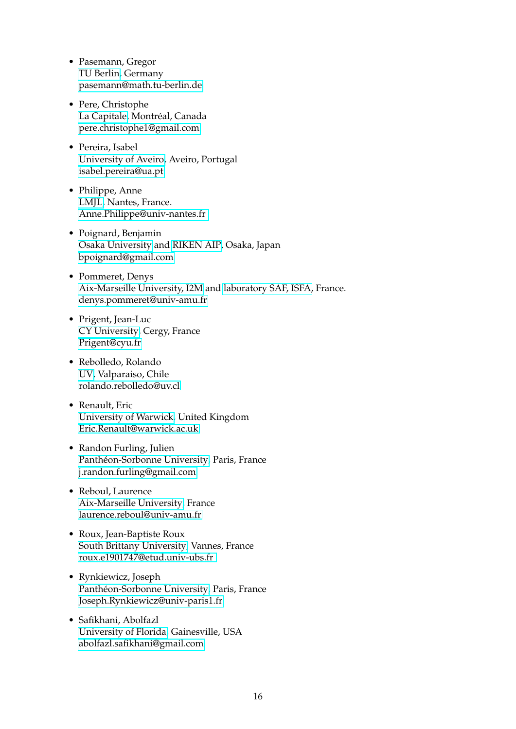- Pasemann, Gregor [TU Berlin,](https://www.tu.berlin/en/) Germany [pasemann@math.tu-berlin.de](mailto:pasemann@math.tu-berlin.de)
- Pere, Christophe [La Capitale,](https://www.lacapitale.com/fr) Montréal, Canada [pere.christophe1@gmail.com](mailto:Pere.christophe1@gmail.com)
- Pereira, Isabel [University of Aveiro,](https://www.ua.pt/) Aveiro, Portugal [isabel.pereira@ua.pt](mailto:isabel.pereira@ua.pt)
- Philippe, Anne [LMJL,](https://www.math.sciences.univ-nantes.fr/fr) Nantes, France. [Anne.Philippe@univ-nantes.fr](mailto:Anne.Philippe@univ-nantes.fr)
- Poignard, Benjamin [Osaka University](https://www.osaka-u.ac.jp/ja) and [RIKEN AIP,](https://www.riken.jp/en/research/labs/aip/) Osaka, Japan [bpoignard@gmail.com](mailto:bpoignard@gmail.com)
- Pommeret, Denys [Aix-Marseille University, I2M](https://www.univ-amu.fr/) and [laboratory SAF, ISFA,](https://isfa.univ-lyon1.fr/) France. [denys.pommeret@univ-amu.fr](mailto:denys.pommeret@univ-amu.fr )
- Prigent, Jean-Luc [CY University,](https://www.cyu.fr/) Cergy, France [Prigent@cyu.fr](mailto:Prigent@cyu.fr)
- Rebolledo, Rolando [UV,](https://www.uv.cl/) Valparaiso, Chile [rolando.rebolledo@uv.cl](mailto:rolando.rebolledo@uv.cl)
- Renault, Eric [University of Warwick,](https://warwick.ac.uk/) United Kingdom [Eric.Renault@warwick.ac.uk](mailto:Eric.Renault@warwick.ac.uk)
- Randon Furling, Julien [Panthéon-Sorbonne University,](http://www.pantheonsorbonne.fr/) Paris, France [j.randon.furling@gmail.com](mailto:j.randon.furling@gmail.com)
- Reboul, Laurence [Aix-Marseille University,](http://iml.univ-mrs.fr/~reboul/) France [laurence.reboul@univ-amu.fr](mailto:laurence.reboul@univ-amu.fr )
- Roux, Jean-Baptiste Roux [South Brittany University,](https://www.univ-ubs.fr/en/index.html) Vannes, France [roux.e1901747@etud.univ-ubs.fr](mailto:roux.e1901747@etud.univ-ubs.fr )
- Rynkiewicz, Joseph [Panthéon-Sorbonne University,](http://www.pantheonsorbonne.fr/) Paris, France [Joseph.Rynkiewicz@univ-paris1.fr](mailto:Joseph.Rynkiewicz@univ-paris1.fr)
- Safikhani, Abolfazl [University of Florida,](https://www.ufl.edu/) Gainesville, USA [abolfazl.safikhani@gmail.com](mailto:abolfazl.safikhani@gmail.com)